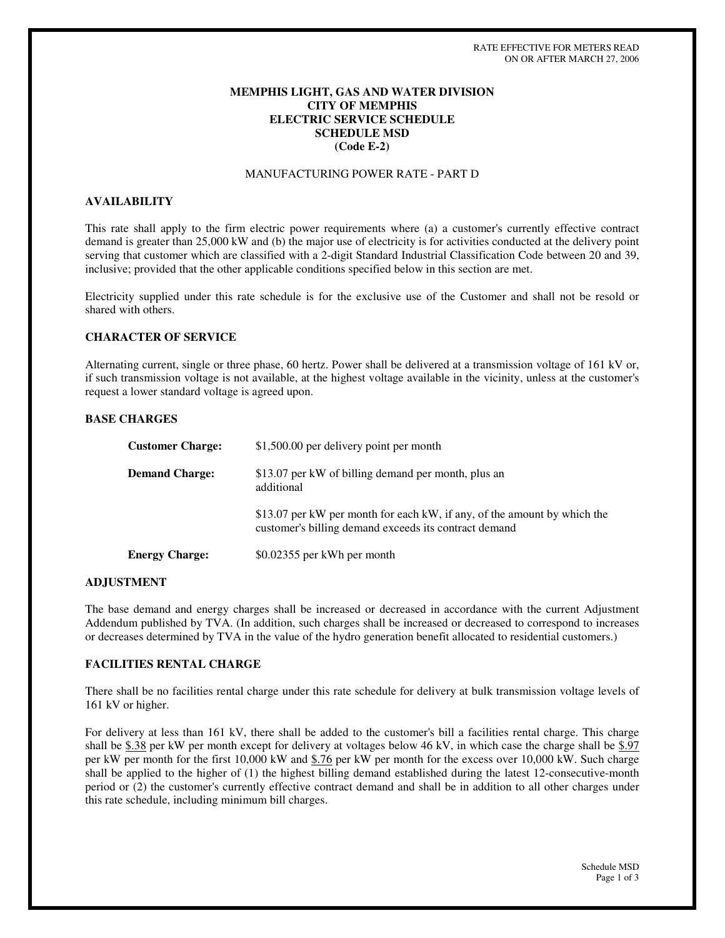# **MEMPHIS LIGHT, GAS AND WATER DIVISION CITY OF MEMPHIS ELECTRIC SERVICE SCHEDULE SCHEDULE MSD (Code E-2)**

# MANUFACTURING POWER RATE - PART D

# **AVAILABILITY**

This rate shall apply to the firm electric power requirements where (a) a customer's currently effective contract demand is greater than 25,000 kW and (b) the major use of electricity is for activities conducted at the delivery point serving that customer which are classified with a 2-digit Standard Industrial Classification Code between 20 and 39, inclusive; provided that the other applicable conditions specified below in this section are met.

Electricity supplied under this rate schedule is for the exclusive use of the Customer and shall not be resold or shared with others.

## **CHARACTER OF SERVICE**

Alternating current, single or three phase, 60 hertz. Power shall be delivered at a transmission voltage of 161 kV or, if such transmission voltage is not available, at the highest voltage available in the vicinity, unless at the customer's request a lower standard voltage is agreed upon.

## **BASE CHARGES**

| <b>Customer Charge:</b> | \$1,500.00 per delivery point per month                                                                                           |
|-------------------------|-----------------------------------------------------------------------------------------------------------------------------------|
| <b>Demand Charge:</b>   | \$13.07 per kW of billing demand per month, plus an<br>additional                                                                 |
|                         | \$13.07 per kW per month for each kW, if any, of the amount by which the<br>customer's billing demand exceeds its contract demand |
| <b>Energy Charge:</b>   | \$0.02355 per kWh per month                                                                                                       |

## **ADJUSTMENT**

The base demand and energy charges shall be increased or decreased in accordance with the current Adjustment Addendum published by TVA. (In addition, such charges shall be increased or decreased to correspond to increases or decreases determined by TVA in the value of the hydro generation benefit allocated to residential customers.)

# **FACILITIES RENTAL CHARGE**

There shall be no facilities rental charge under this rate schedule for delivery at bulk transmission voltage levels of 161 kV or higher.

For delivery at less than 161 kV, there shall be added to the customer's bill a facilities rental charge. This charge shall be \$.38 per kW per month except for delivery at voltages below 46 kV, in which case the charge shall be \$.97 per kW per month for the first 10,000 kW and \$.76 per kW per month for the excess over 10,000 kW. Such charge shall be applied to the higher of (1) the highest billing demand established during the latest 12-consecutive-month period or (2) the customer's currently effective contract demand and shall be in addition to all other charges under this rate schedule, including minimum bill charges.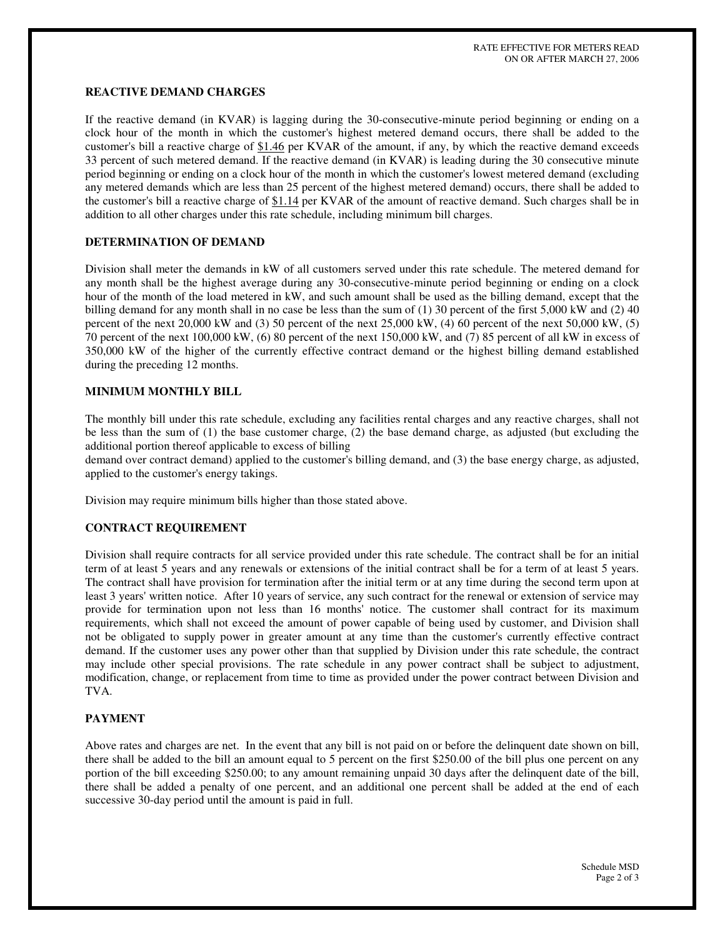# **REACTIVE DEMAND CHARGES**

If the reactive demand (in KVAR) is lagging during the 30-consecutive-minute period beginning or ending on a clock hour of the month in which the customer's highest metered demand occurs, there shall be added to the customer's bill a reactive charge of \$1.46 per KVAR of the amount, if any, by which the reactive demand exceeds 33 percent of such metered demand. If the reactive demand (in KVAR) is leading during the 30 consecutive minute period beginning or ending on a clock hour of the month in which the customer's lowest metered demand (excluding any metered demands which are less than 25 percent of the highest metered demand) occurs, there shall be added to the customer's bill a reactive charge of  $$1.14$  per KVAR of the amount of reactive demand. Such charges shall be in addition to all other charges under this rate schedule, including minimum bill charges.

## **DETERMINATION OF DEMAND**

Division shall meter the demands in kW of all customers served under this rate schedule. The metered demand for any month shall be the highest average during any 30-consecutive-minute period beginning or ending on a clock hour of the month of the load metered in kW, and such amount shall be used as the billing demand, except that the billing demand for any month shall in no case be less than the sum of  $(1)$  30 percent of the first 5,000 kW and  $(2)$  40 percent of the next 20,000 kW and (3) 50 percent of the next 25,000 kW, (4) 60 percent of the next 50,000 kW, (5) 70 percent of the next 100,000 kW, (6) 80 percent of the next 150,000 kW, and (7) 85 percent of all kW in excess of 350,000 kW of the higher of the currently effective contract demand or the highest billing demand established during the preceding 12 months.

# **MINIMUM MONTHLY BILL**

The monthly bill under this rate schedule, excluding any facilities rental charges and any reactive charges, shall not be less than the sum of (1) the base customer charge, (2) the base demand charge, as adjusted (but excluding the additional portion thereof applicable to excess of billing

demand over contract demand) applied to the customer's billing demand, and (3) the base energy charge, as adjusted, applied to the customer's energy takings.

Division may require minimum bills higher than those stated above.

#### **CONTRACT REQUIREMENT**

Division shall require contracts for all service provided under this rate schedule. The contract shall be for an initial term of at least 5 years and any renewals or extensions of the initial contract shall be for a term of at least 5 years. The contract shall have provision for termination after the initial term or at any time during the second term upon at least 3 years' written notice. After 10 years of service, any such contract for the renewal or extension of service may provide for termination upon not less than 16 months' notice. The customer shall contract for its maximum requirements, which shall not exceed the amount of power capable of being used by customer, and Division shall not be obligated to supply power in greater amount at any time than the customer's currently effective contract demand. If the customer uses any power other than that supplied by Division under this rate schedule, the contract may include other special provisions. The rate schedule in any power contract shall be subject to adjustment, modification, change, or replacement from time to time as provided under the power contract between Division and TVA.

#### **PAYMENT**

Above rates and charges are net. In the event that any bill is not paid on or before the delinquent date shown on bill, there shall be added to the bill an amount equal to 5 percent on the first \$250.00 of the bill plus one percent on any portion of the bill exceeding \$250.00; to any amount remaining unpaid 30 days after the delinquent date of the bill, there shall be added a penalty of one percent, and an additional one percent shall be added at the end of each successive 30-day period until the amount is paid in full.